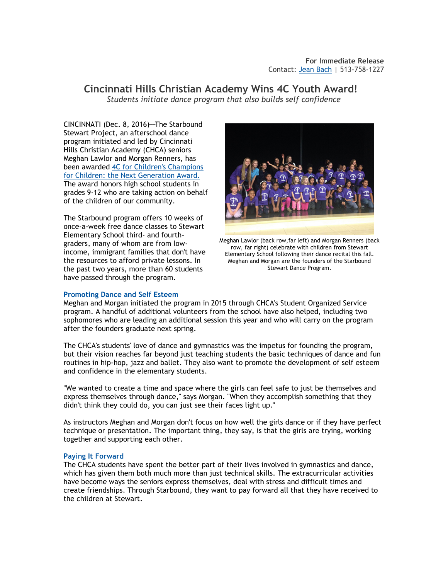# **Cincinnati Hills Christian Academy Wins 4C Youth Award!**  *Students initiate dance program that also builds self confidence*

CINCINNATI (Dec. 8, 2016)-The Starbound Stewart Project, an afterschool dance program initiated and led by Cincinnati Hills Christian Academy (CHCA) seniors Meghan Lawlor and Morgan Renners, has been awarded [4C for Children's Champions](http://gala.4cforchildren.org/youthaward.aspx)  [for Children: the Next Generation Award.](http://gala.4cforchildren.org/youthaward.aspx)  The award honors high school students in grades 9-12 who are taking action on behalf of the children of our community.

The Starbound program offers 10 weeks of once-a-week free dance classes to Stewart Elementary School third- and fourthgraders, many of whom are from lowincome, immigrant families that don't have the resources to afford private lessons. In the past two years, more than 60 students have passed through the program.



Meghan Lawlor (back row,far left) and Morgan Renners (back row, far right) celebrate with children from Stewart Elementary School following their dance recital this fall. Meghan and Morgan are the founders of the Starbound Stewart Dance Program.

## **Promoting Dance and Self Esteem**

Meghan and Morgan initiated the program in 2015 through CHCA's Student Organized Service program. A handful of additional volunteers from the school have also helped, including two sophomores who are leading an additional session this year and who will carry on the program after the founders graduate next spring.

The CHCA's students' love of dance and gymnastics was the impetus for founding the program, but their vision reaches far beyond just teaching students the basic techniques of dance and fun routines in hip-hop, jazz and ballet. They also want to promote the development of self esteem and confidence in the elementary students.

"We wanted to create a time and space where the girls can feel safe to just be themselves and express themselves through dance," says Morgan. "When they accomplish something that they didn't think they could do, you can just see their faces light up."

As instructors Meghan and Morgan don't focus on how well the girls dance or if they have perfect technique or presentation. The important thing, they say, is that the girls are trying, working together and supporting each other.

## **Paying It Forward**

The CHCA students have spent the better part of their lives involved in gymnastics and dance, which has given them both much more than just technical skills. The extracurricular activities have become ways the seniors express themselves, deal with stress and difficult times and create friendships. Through Starbound, they want to pay forward all that they have received to the children at Stewart.